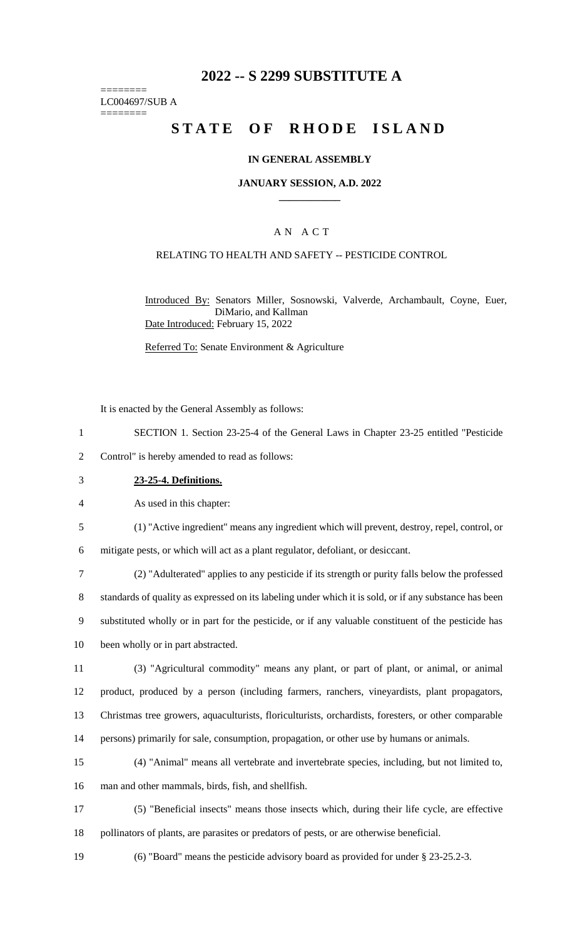# **2022 -- S 2299 SUBSTITUTE A**

======== LC004697/SUB A ========

# **STATE OF RHODE ISLAND**

### **IN GENERAL ASSEMBLY**

#### **JANUARY SESSION, A.D. 2022 \_\_\_\_\_\_\_\_\_\_\_\_**

## A N A C T

### RELATING TO HEALTH AND SAFETY -- PESTICIDE CONTROL

Introduced By: Senators Miller, Sosnowski, Valverde, Archambault, Coyne, Euer, DiMario, and Kallman Date Introduced: February 15, 2022

Referred To: Senate Environment & Agriculture

It is enacted by the General Assembly as follows:

- 1 SECTION 1. Section 23-25-4 of the General Laws in Chapter 23-25 entitled "Pesticide
- 2 Control" is hereby amended to read as follows:
- 3 **23-25-4. Definitions.**

4 As used in this chapter:

5 (1) "Active ingredient" means any ingredient which will prevent, destroy, repel, control, or 6 mitigate pests, or which will act as a plant regulator, defoliant, or desiccant.

 (2) "Adulterated" applies to any pesticide if its strength or purity falls below the professed standards of quality as expressed on its labeling under which it is sold, or if any substance has been substituted wholly or in part for the pesticide, or if any valuable constituent of the pesticide has been wholly or in part abstracted.

 (3) "Agricultural commodity" means any plant, or part of plant, or animal, or animal product, produced by a person (including farmers, ranchers, vineyardists, plant propagators, Christmas tree growers, aquaculturists, floriculturists, orchardists, foresters, or other comparable persons) primarily for sale, consumption, propagation, or other use by humans or animals.

- 15 (4) "Animal" means all vertebrate and invertebrate species, including, but not limited to, 16 man and other mammals, birds, fish, and shellfish.
- 17 (5) "Beneficial insects" means those insects which, during their life cycle, are effective 18 pollinators of plants, are parasites or predators of pests, or are otherwise beneficial.
- 19 (6) "Board" means the pesticide advisory board as provided for under § 23-25.2-3.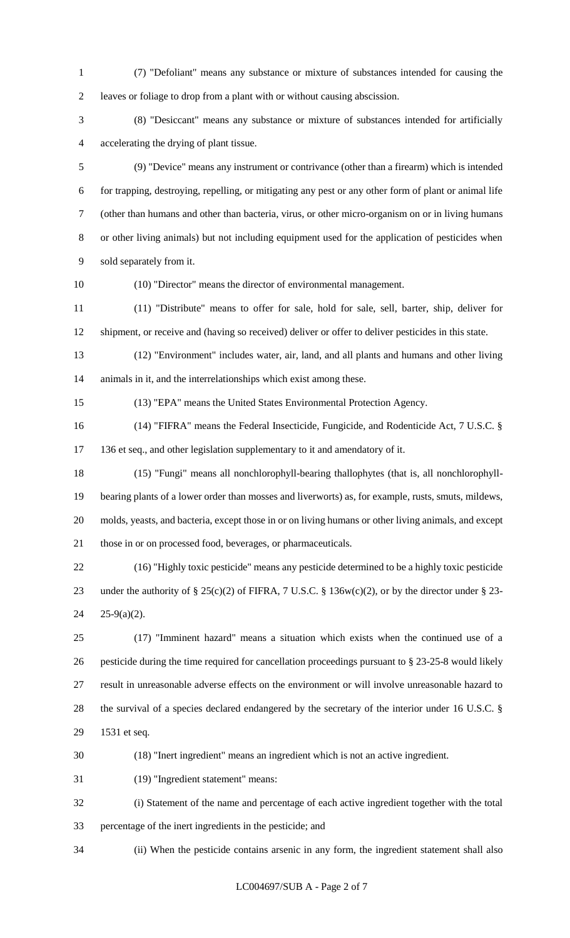- (7) "Defoliant" means any substance or mixture of substances intended for causing the leaves or foliage to drop from a plant with or without causing abscission.
- (8) "Desiccant" means any substance or mixture of substances intended for artificially accelerating the drying of plant tissue.
- (9) "Device" means any instrument or contrivance (other than a firearm) which is intended for trapping, destroying, repelling, or mitigating any pest or any other form of plant or animal life (other than humans and other than bacteria, virus, or other micro-organism on or in living humans or other living animals) but not including equipment used for the application of pesticides when sold separately from it.
- 

(10) "Director" means the director of environmental management.

 (11) "Distribute" means to offer for sale, hold for sale, sell, barter, ship, deliver for shipment, or receive and (having so received) deliver or offer to deliver pesticides in this state.

 (12) "Environment" includes water, air, land, and all plants and humans and other living animals in it, and the interrelationships which exist among these.

(13) "EPA" means the United States Environmental Protection Agency.

- (14) "FIFRA" means the Federal Insecticide, Fungicide, and Rodenticide Act, 7 U.S.C. § 17 136 et seq., and other legislation supplementary to it and amendatory of it.
- (15) "Fungi" means all nonchlorophyll-bearing thallophytes (that is, all nonchlorophyll- bearing plants of a lower order than mosses and liverworts) as, for example, rusts, smuts, mildews, molds, yeasts, and bacteria, except those in or on living humans or other living animals, and except those in or on processed food, beverages, or pharmaceuticals.
- (16) "Highly toxic pesticide" means any pesticide determined to be a highly toxic pesticide under the authority of § 25(c)(2) of FIFRA, 7 U.S.C. § 136w(c)(2), or by the director under § 23- 25-9(a)(2).
- (17) "Imminent hazard" means a situation which exists when the continued use of a pesticide during the time required for cancellation proceedings pursuant to § 23-25-8 would likely result in unreasonable adverse effects on the environment or will involve unreasonable hazard to the survival of a species declared endangered by the secretary of the interior under 16 U.S.C. § 1531 et seq.
- (18) "Inert ingredient" means an ingredient which is not an active ingredient.
- (19) "Ingredient statement" means:
- (i) Statement of the name and percentage of each active ingredient together with the total percentage of the inert ingredients in the pesticide; and
- (ii) When the pesticide contains arsenic in any form, the ingredient statement shall also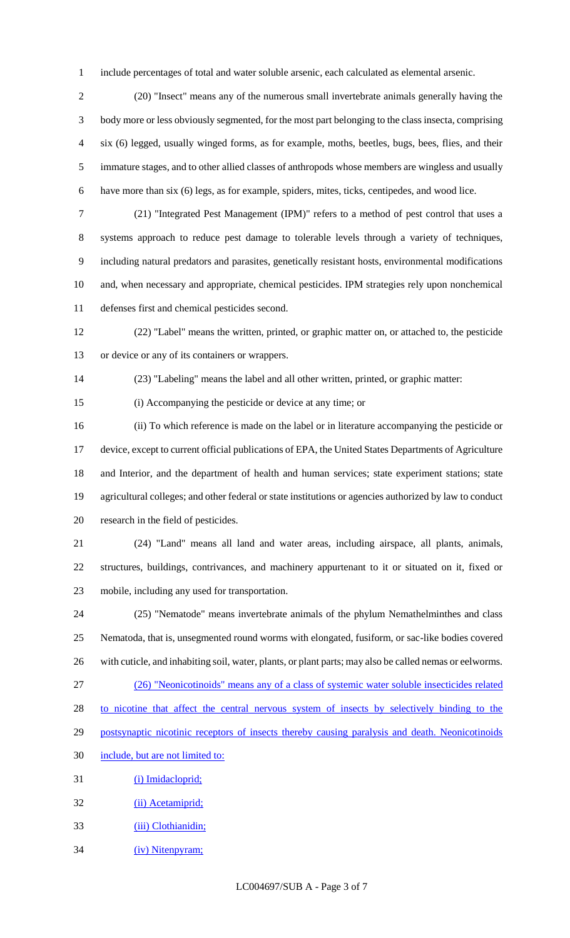include percentages of total and water soluble arsenic, each calculated as elemental arsenic.

 (20) "Insect" means any of the numerous small invertebrate animals generally having the body more or less obviously segmented, for the most part belonging to the class insecta, comprising six (6) legged, usually winged forms, as for example, moths, beetles, bugs, bees, flies, and their immature stages, and to other allied classes of anthropods whose members are wingless and usually have more than six (6) legs, as for example, spiders, mites, ticks, centipedes, and wood lice.

 (21) "Integrated Pest Management (IPM)" refers to a method of pest control that uses a systems approach to reduce pest damage to tolerable levels through a variety of techniques, including natural predators and parasites, genetically resistant hosts, environmental modifications and, when necessary and appropriate, chemical pesticides. IPM strategies rely upon nonchemical defenses first and chemical pesticides second.

 (22) "Label" means the written, printed, or graphic matter on, or attached to, the pesticide or device or any of its containers or wrappers.

(23) "Labeling" means the label and all other written, printed, or graphic matter:

(i) Accompanying the pesticide or device at any time; or

 (ii) To which reference is made on the label or in literature accompanying the pesticide or device, except to current official publications of EPA, the United States Departments of Agriculture and Interior, and the department of health and human services; state experiment stations; state agricultural colleges; and other federal or state institutions or agencies authorized by law to conduct research in the field of pesticides.

 (24) "Land" means all land and water areas, including airspace, all plants, animals, structures, buildings, contrivances, and machinery appurtenant to it or situated on it, fixed or mobile, including any used for transportation.

 (25) "Nematode" means invertebrate animals of the phylum Nemathelminthes and class Nematoda, that is, unsegmented round worms with elongated, fusiform, or sac-like bodies covered with cuticle, and inhabiting soil, water, plants, or plant parts; may also be called nemas or eelworms. (26) "Neonicotinoids" means any of a class of systemic water soluble insecticides related 28 to nicotine that affect the central nervous system of insects by selectively binding to the 29 postsynaptic nicotinic receptors of insects thereby causing paralysis and death. Neonicotinoids include, but are not limited to: 31 (i) Imidacloprid;

- 32 (ii) Acetamiprid;
- 33 (iii) Clothianidin;
- 34 (iv) Nitenpyram;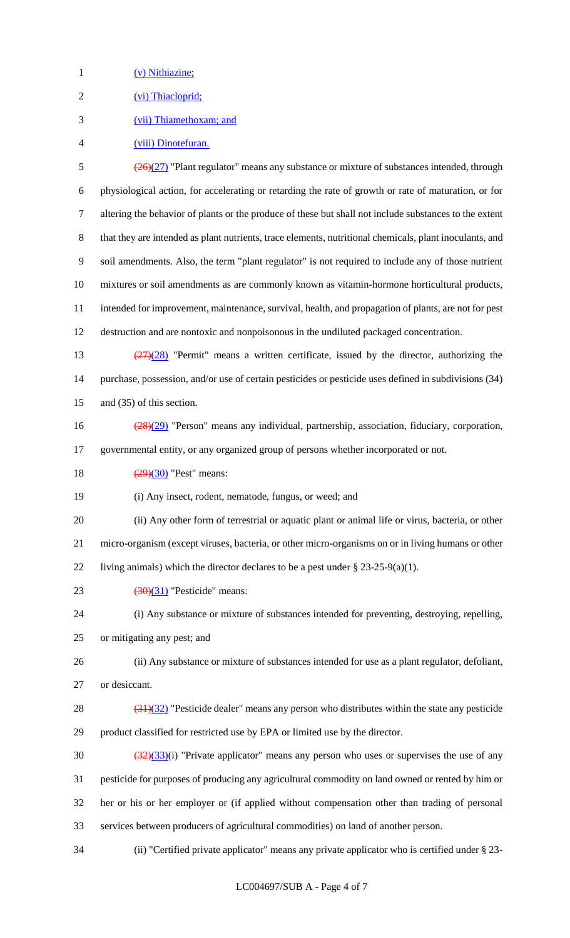1 (v) Nithiazine;

2 (vi) Thiacloprid;

- (vii) Thiamethoxam; and
- (viii) Dinotefuran.

 $\frac{(26)(27)}{20}$  "Plant regulator" means any substance or mixture of substances intended, through physiological action, for accelerating or retarding the rate of growth or rate of maturation, or for altering the behavior of plants or the produce of these but shall not include substances to the extent that they are intended as plant nutrients, trace elements, nutritional chemicals, plant inoculants, and soil amendments. Also, the term "plant regulator" is not required to include any of those nutrient mixtures or soil amendments as are commonly known as vitamin-hormone horticultural products, intended for improvement, maintenance, survival, health, and propagation of plants, are not for pest destruction and are nontoxic and nonpoisonous in the undiluted packaged concentration.

- (27)(28) "Permit" means a written certificate, issued by the director, authorizing the purchase, possession, and/or use of certain pesticides or pesticide uses defined in subdivisions (34) and (35) of this section.
- (28)(29) "Person" means any individual, partnership, association, fiduciary, corporation, governmental entity, or any organized group of persons whether incorporated or not.

18  $(29)(30)$  "Pest" means:

(i) Any insect, rodent, nematode, fungus, or weed; and

 (ii) Any other form of terrestrial or aquatic plant or animal life or virus, bacteria, or other micro-organism (except viruses, bacteria, or other micro-organisms on or in living humans or other 22 living animals) which the director declares to be a pest under  $\S 23-25-9(a)(1)$ .

23  $(30)(31)$  "Pesticide" means:

 (i) Any substance or mixture of substances intended for preventing, destroying, repelling, or mitigating any pest; and

 (ii) Any substance or mixture of substances intended for use as a plant regulator, defoliant, or desiccant.

28  $(31)(32)$  "Pesticide dealer" means any person who distributes within the state any pesticide product classified for restricted use by EPA or limited use by the director.

 $\frac{(32)(33)}{(1)}$  "Private applicator" means any person who uses or supervises the use of any pesticide for purposes of producing any agricultural commodity on land owned or rented by him or her or his or her employer or (if applied without compensation other than trading of personal services between producers of agricultural commodities) on land of another person.

(ii) "Certified private applicator" means any private applicator who is certified under § 23-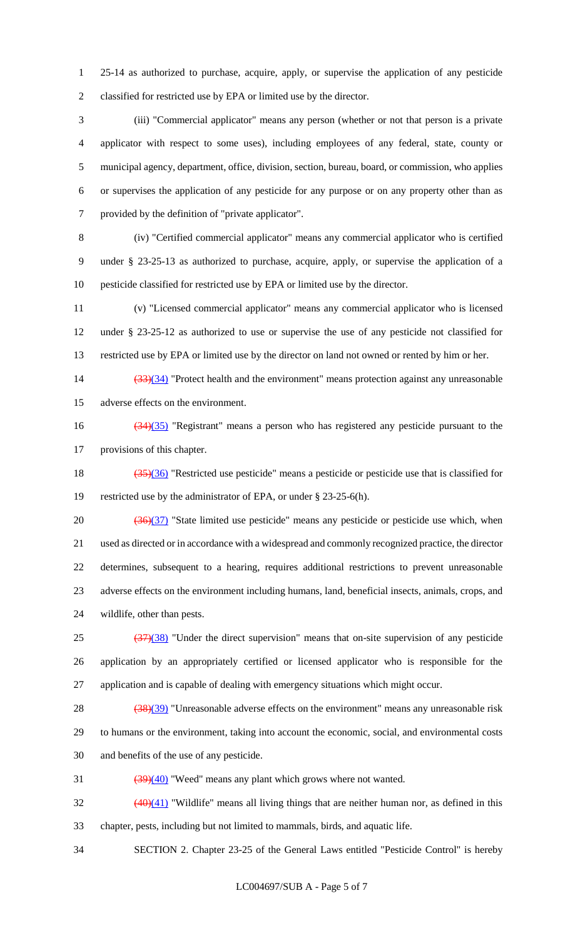25-14 as authorized to purchase, acquire, apply, or supervise the application of any pesticide classified for restricted use by EPA or limited use by the director.

 (iii) "Commercial applicator" means any person (whether or not that person is a private applicator with respect to some uses), including employees of any federal, state, county or municipal agency, department, office, division, section, bureau, board, or commission, who applies or supervises the application of any pesticide for any purpose or on any property other than as provided by the definition of "private applicator".

 (iv) "Certified commercial applicator" means any commercial applicator who is certified under § 23-25-13 as authorized to purchase, acquire, apply, or supervise the application of a pesticide classified for restricted use by EPA or limited use by the director.

 (v) "Licensed commercial applicator" means any commercial applicator who is licensed under § 23-25-12 as authorized to use or supervise the use of any pesticide not classified for restricted use by EPA or limited use by the director on land not owned or rented by him or her.

14 (33)(34) "Protect health and the environment" means protection against any unreasonable adverse effects on the environment.

 (34)(35) "Registrant" means a person who has registered any pesticide pursuant to the provisions of this chapter.

18  $(35)(36)$  "Restricted use pesticide" means a pesticide or pesticide use that is classified for restricted use by the administrator of EPA, or under § 23-25-6(h).

 $\frac{(36)(37)}{20}$  "State limited use pesticide" means any pesticide or pesticide use which, when used as directed or in accordance with a widespread and commonly recognized practice, the director determines, subsequent to a hearing, requires additional restrictions to prevent unreasonable adverse effects on the environment including humans, land, beneficial insects, animals, crops, and wildlife, other than pests.

 $\frac{(37)(38)}{25}$  "Under the direct supervision" means that on-site supervision of any pesticide application by an appropriately certified or licensed applicator who is responsible for the application and is capable of dealing with emergency situations which might occur.

28 (38)(39) "Unreasonable adverse effects on the environment" means any unreasonable risk

to humans or the environment, taking into account the economic, social, and environmental costs

and benefits of the use of any pesticide.

 $\frac{(39)(40)}{2}$  "Weed" means any plant which grows where not wanted.

 $\frac{(40)(41)}{20}$  "Wildlife" means all living things that are neither human nor, as defined in this chapter, pests, including but not limited to mammals, birds, and aquatic life.

SECTION 2. Chapter 23-25 of the General Laws entitled "Pesticide Control" is hereby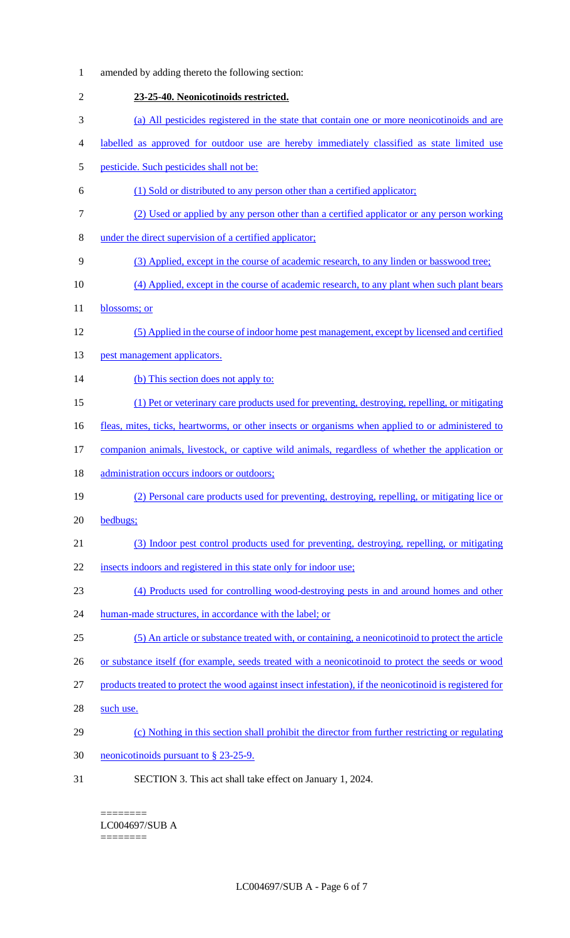| $\mathbf{1}$ | amended by adding thereto the following section:                                                         |
|--------------|----------------------------------------------------------------------------------------------------------|
| $\sqrt{2}$   | 23-25-40. Neonicotinoids restricted.                                                                     |
| 3            | (a) All pesticides registered in the state that contain one or more neonicotinoids and are               |
| 4            | labelled as approved for outdoor use are hereby immediately classified as state limited use              |
| 5            | pesticide. Such pesticides shall not be:                                                                 |
| 6            | (1) Sold or distributed to any person other than a certified applicator;                                 |
| 7            | (2) Used or applied by any person other than a certified applicator or any person working                |
| $8\,$        | under the direct supervision of a certified applicator;                                                  |
| 9            | (3) Applied, except in the course of academic research, to any linden or basswood tree;                  |
| 10           | (4) Applied, except in the course of academic research, to any plant when such plant bears               |
| 11           | blossoms; or                                                                                             |
| 12           | (5) Applied in the course of indoor home pest management, except by licensed and certified               |
| 13           | pest management applicators.                                                                             |
| 14           | (b) This section does not apply to:                                                                      |
| 15           | (1) Pet or veterinary care products used for preventing, destroying, repelling, or mitigating            |
| 16           | fleas, mites, ticks, heartworms, or other insects or organisms when applied to or administered to        |
| 17           | companion animals, livestock, or captive wild animals, regardless of whether the application or          |
| 18           | administration occurs indoors or outdoors;                                                               |
| 19           | (2) Personal care products used for preventing, destroying, repelling, or mitigating lice or             |
| 20           | bedbugs;                                                                                                 |
| 21           | (3) Indoor pest control products used for preventing, destroying, repelling, or mitigating               |
| 22           | insects indoors and registered in this state only for indoor use;                                        |
| 23           | (4) Products used for controlling wood-destroying pests in and around homes and other                    |
| 24           | human-made structures, in accordance with the label; or                                                  |
| 25           | (5) An article or substance treated with, or containing, a neonicotinoid to protect the article          |
| 26           | or substance itself (for example, seeds treated with a neonicotinoid to protect the seeds or wood        |
| 27           | products treated to protect the wood against insect infestation), if the neonicotinoid is registered for |
| 28           | such use.                                                                                                |
| 29           | (c) Nothing in this section shall prohibit the director from further restricting or regulating           |
| 30           | neonicotinoids pursuant to § 23-25-9.                                                                    |
| 31           | SECTION 3. This act shall take effect on January 1, 2024.                                                |

LC004697/SUB A ========

 $=$